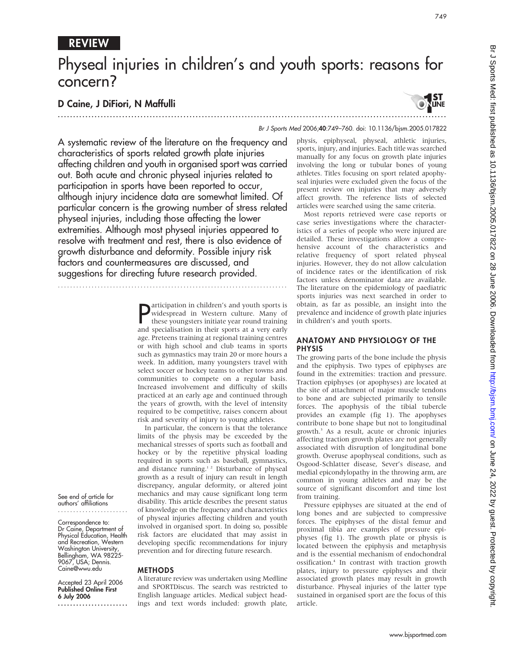## REVIEW

# Physeal injuries in children's and youth sports: reasons for concern?

## D Caine, J DiFiori, N Maffulli



#### Br J Sports Med 2006;40:749–760. doi: 10.1136/bjsm.2005.017822

A systematic review of the literature on the frequency and characteristics of sports related growth plate injuries affecting children and youth in organised sport was carried out. Both acute and chronic physeal injuries related to participation in sports have been reported to occur, although injury incidence data are somewhat limited. Of particular concern is the growing number of stress related physeal injuries, including those affecting the lower extremities. Although most physeal injuries appeared to resolve with treatment and rest, there is also evidence of growth disturbance and deformity. Possible injury risk factors and countermeasures are discussed, and suggestions for directing future research provided.

...........................................................................

.............................................................................................................................. .

**P** articipation in children's and youth sports is<br>these youngsters initiate year round training<br>and specialisation in their sports at a very explicit widespread in Western culture. Many of these youngsters initiate year round training and specialisation in their sports at a very early age. Preteens training at regional training centres or with high school and club teams in sports such as gymnastics may train 20 or more hours a week. In addition, many youngsters travel with select soccer or hockey teams to other towns and communities to compete on a regular basis. Increased involvement and difficulty of skills practiced at an early age and continued through the years of growth, with the level of intensity required to be competitive, raises concern about risk and severity of injury to young athletes.

In particular, the concern is that the tolerance limits of the physis may be exceeded by the mechanical stresses of sports such as football and hockey or by the repetitive physical loading required in sports such as baseball, gymnastics, and distance running.<sup>12</sup> Disturbance of physeal growth as a result of injury can result in length discrepancy, angular deformity, or altered joint mechanics and may cause significant long term disability. This article describes the present status of knowledge on the frequency and characteristics of physeal injuries affecting children and youth involved in organised sport. In doing so, possible risk factors are elucidated that may assist in developing specific recommendations for injury prevention and for directing future research.

#### METHODS

A literature review was undertaken using Medline and SPORTDiscus. The search was restricted to English language articles. Medical subject headings and text words included: growth plate, physis, epiphyseal, physeal, athletic injuries, sports, injury, and injuries. Each title was searched manually for any focus on growth plate injuries involving the long or tubular bones of young athletes. Titles focusing on sport related apophyseal injuries were excluded given the focus of the present review on injuries that may adversely affect growth. The reference lists of selected articles were searched using the same criteria.

Most reports retrieved were case reports or case series investigations where the characteristics of a series of people who were injured are detailed. These investigations allow a comprehensive account of the characteristics and relative frequency of sport related physeal injuries. However, they do not allow calculation of incidence rates or the identification of risk factors unless denominator data are available. The literature on the epidemiology of paediatric sports injuries was next searched in order to obtain, as far as possible, an insight into the prevalence and incidence of growth plate injuries in children's and youth sports.

#### ANATOMY AND PHYSIOLOGY OF THE PHYSIS

The growing parts of the bone include the physis and the epiphysis. Two types of epiphyses are found in the extremities: traction and pressure. Traction epiphyses (or apophyses) are located at the site of attachment of major muscle tendons to bone and are subjected primarily to tensile forces. The apophysis of the tibial tubercle provides an example (fig 1). The apophyses contribute to bone shape but not to longitudinal growth.3 As a result, acute or chronic injuries affecting traction growth plates are not generally associated with disruption of longitudinal bone growth. Overuse apophyseal conditions, such as Osgood-Schlatter disease, Sever's disease, and medial epicondylopathy in the throwing arm, are common in young athletes and may be the source of significant discomfort and time lost from training.

Pressure epiphyses are situated at the end of long bones and are subjected to compressive forces. The epiphyses of the distal femur and proximal tibia are examples of pressure epiphyses (fig 1). The growth plate or physis is located between the epiphysis and metaphysis and is the essential mechanism of endochondral ossification.4 In contrast with traction growth plates, injury to pressure epiphyses and their associated growth plates may result in growth disturbance. Physeal injuries of the latter type sustained in organised sport are the focus of this article.

See end of article for authors' affiliations .......................

Correspondence to: Dr Caine, Department of Physical Education, Health and Recreation, Western Washington University Bellingham, WA 98225- 9067, USA; Dennis. Caine@wwu.edu

Accepted 23 April 2006 Published Online First 6 July 2006

.......................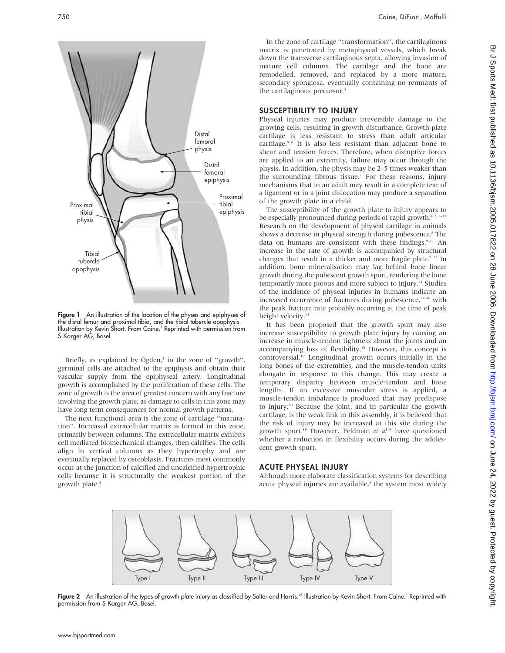

Figure 1 An illustration of the location of the physes and epiphyses of the distal femur and proximal tibia, and the tibial tubercle apophysis. Illustration by Kevin Short. From Caine.<sup>1</sup> Reprinted with permission from S Karger AG, Basel.

Briefly, as explained by Ogden,<sup>4</sup> in the zone of "growth", germinal cells are attached to the epiphysis and obtain their vascular supply from the epiphyseal artery. Longitudinal growth is accomplished by the proliferation of these cells. The zone of growth is the area of greatest concern with any fracture involving the growth plate, as damage to cells in this zone may have long term consequences for normal growth patterns.

The next functional area is the zone of cartilage ''maturation''. Increased extracellular matrix is formed in this zone, primarily between columns. The extracellular matrix exhibits cell mediated biomechanical changes, then calcifies. The cells align in vertical columns as they hypertrophy and are eventually replaced by osteoblasts. Fractures most commonly occur at the junction of calcified and uncalcified hypertrophic cells because it is structurally the weakest portion of the growth plate.4

In the zone of cartilage ''transformation'', the cartilaginous matrix is penetrated by metaphyseal vessels, which break down the transverse cartilaginous septa, allowing invasion of mature cell columns. The cartilage and the bone are remodelled, removed, and replaced by a more mature, secondary spongiosa, eventually containing no remnants of the cartilaginous precursor.<sup>4</sup>

#### SUSCEPTIBILITY TO INJURY

Physeal injuries may produce irreversible damage to the growing cells, resulting in growth disturbance. Growth plate cartilage is less resistant to stress than adult articular cartilage.<sup>5 6</sup> It is also less resistant than adjacent bone to shear and tension forces. Therefore, when disruptive forces are applied to an extremity, failure may occur through the physis. In addition, the physis may be 2–5 times weaker than the surrounding fibrous tissue.<sup>7</sup> For these reasons, injury mechanisms that in an adult may result in a complete tear of a ligament or in a joint dislocation may produce a separation of the growth plate in a child.

The susceptibility of the growth plate to injury appears to be especially pronounced during periods of rapid growth.<sup>4 5 8–17</sup> Research on the development of physeal cartilage in animals shows a decrease in physeal strength during pubescence.<sup>8</sup> The data on humans are consistent with these findings. $9-11$  An increase in the rate of growth is accompanied by structural changes that result in a thicker and more fragile plate.<sup>9 12</sup> In addition, bone mineralisation may lag behind bone linear growth during the pubescent growth spurt, rendering the bone temporarily more porous and more subject to injury.13 Studies of the incidence of physeal injuries in humans indicate an increased occurrence of fractures during pubescence,<sup>12-16</sup> with the peak fracture rate probably occurring at the time of peak height velocity.<sup>13</sup>

It has been proposed that the growth spurt may also increase susceptibility to growth plate injury by causing an increase in muscle-tendon tightness about the joints and an accompanying loss of flexibility.<sup>18</sup> However, this concept is controversial.19 Longitudinal growth occurs initially in the long bones of the extremities, and the muscle-tendon units elongate in response to this change. This may create a temporary disparity between muscle-tendon and bone lengths. If an excessive muscular stress is applied, a muscle-tendon imbalance is produced that may predispose to injury.20 Because the joint, and in particular the growth cartilage, is the weak link in this assembly, it is believed that the risk of injury may be increased at this site during the growth spurt.<sup>18</sup> However, Feldman et  $al^{19}$  have questioned whether a reduction in flexibility occurs during the adolescent growth spurt.

#### ACUTE PHYSEAL INJURY

Although more elaborate classification systems for describing acute physeal injuries are available, $4$  the system most widely



Figure 2 An illustration of the types of growth plate injury as classified by Salter and Harris.<sup>21</sup> Illustration by Kevin Short. From Caine.<sup>1</sup> Reprinted with permission from S Karger AG, Basel.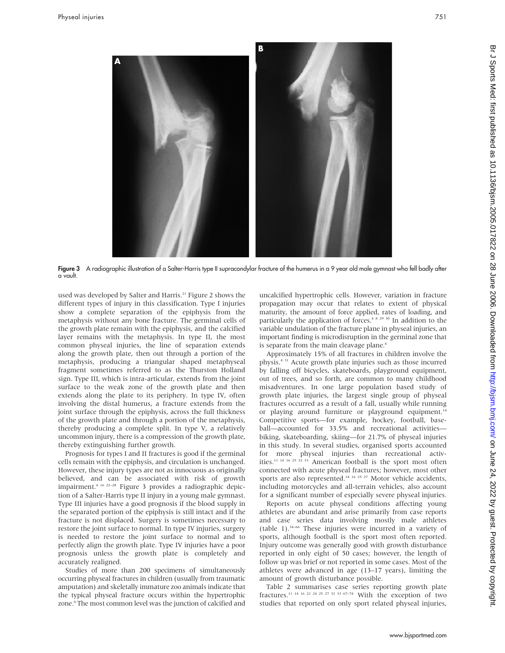

Figure 3 A radiographic illustration of a Salter-Harris type II supracondylar fracture of the humerus in a 9 year old male gymnast who fell badly after a vault.

used was developed by Salter and Harris.<sup>21</sup> Figure 2 shows the different types of injury in this classification. Type I injuries show a complete separation of the epiphysis from the metaphysis without any bone fracture. The germinal cells of the growth plate remain with the epiphysis, and the calcified layer remains with the metaphysis. In type II, the most common physeal injuries, the line of separation extends along the growth plate, then out through a portion of the metaphysis, producing a triangular shaped metaphyseal fragment sometimes referred to as the Thurston Holland sign. Type III, which is intra-articular, extends from the joint surface to the weak zone of the growth plate and then extends along the plate to its periphery. In type IV, often involving the distal humerus, a fracture extends from the joint surface through the epiphysis, across the full thickness of the growth plate and through a portion of the metaphysis, thereby producing a complete split. In type V, a relatively uncommon injury, there is a compression of the growth plate, thereby extinguishing further growth.

Prognosis for types I and II fractures is good if the germinal cells remain with the epiphysis, and circulation is unchanged. However, these injury types are not as innocuous as originally believed, and can be associated with risk of growth impairment.4 16 22–28 Figure 3 provides a radiographic depiction of a Salter-Harris type II injury in a young male gymnast. Type III injuries have a good prognosis if the blood supply in the separated portion of the epiphysis is still intact and if the fracture is not displaced. Surgery is sometimes necessary to restore the joint surface to normal. In type IV injuries, surgery is needed to restore the joint surface to normal and to perfectly align the growth plate. Type IV injuries have a poor prognosis unless the growth plate is completely and accurately realigned.

Studies of more than 200 specimens of simultaneously occurring physeal fractures in children (usually from traumatic amputation) and skeletally immature zoo animals indicate that the typical physeal fracture occurs within the hypertrophic zone.<sup>4</sup> The most common level was the junction of calcified and

uncalcified hypertrophic cells. However, variation in fracture propagation may occur that relates to extent of physical maturity, the amount of force applied, rates of loading, and particularly the application of forces.<sup>4 8 29 30</sup> In addition to the variable undulation of the fracture plane in physeal injuries, an important finding is microdisruption in the germinal zone that is separate from the main cleavage plane.<sup>4</sup>

Approximately 15% of all fractures in children involve the physis.4 31 Acute growth plate injuries such as those incurred by falling off bicycles, skateboards, playground equipment, out of trees, and so forth, are common to many childhood misadventures. In one large population based study of growth plate injuries, the largest single group of physeal fractures occurred as a result of a fall, usually while running or playing around furniture or playground equipment.<sup>14</sup> Competitive sports—for example, hockey, football, baseball—accounted for 33.5% and recreational activities biking, skateboarding, skiing—for 21.7% of physeal injuries in this study. In several studies, organised sports accounted for more physeal injuries than recreational activities.11 14 16 25 32 33 American football is the sport most often connected with acute physeal fractures; however, most other sports are also represented.<sup>14 16 25 27</sup> Motor vehicle accidents, including motorcycles and all-terrain vehicles, also account for a significant number of especially severe physeal injuries.

Reports on acute physeal conditions affecting young athletes are abundant and arise primarily from case reports and case series data involving mostly male athletes (table 1).34–66 These injuries were incurred in a variety of sports, although football is the sport most often reported. Injury outcome was generally good with growth disturbance reported in only eight of 50 cases; however, the length of follow up was brief or not reported in some cases. Most of the athletes were advanced in age (13–17 years), limiting the amount of growth disturbance possible.

Table 2 summarises case series reporting growth plate fractures.11 14 16 22 24 25 27 32 33 67–74 With the exception of two studies that reported on only sport related physeal injuries,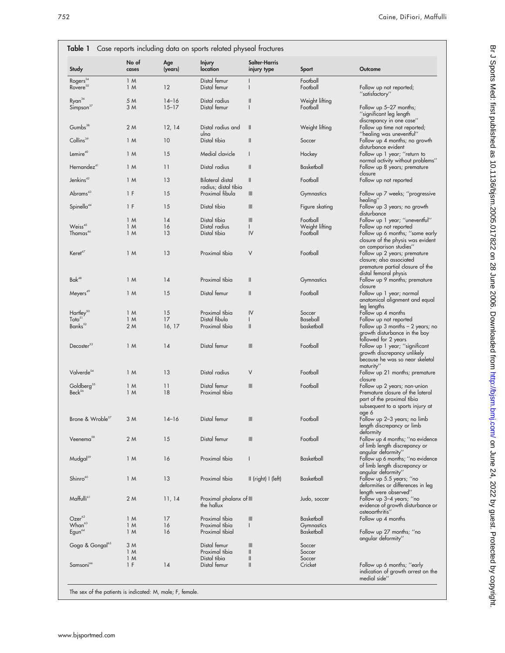| Study                                        | No of<br>cases | Age<br>(years) | <b>Injury</b><br>location                       | Salter-Harris<br>injury type | Sport                      | Outcome                                                                                                                  |
|----------------------------------------------|----------------|----------------|-------------------------------------------------|------------------------------|----------------------------|--------------------------------------------------------------------------------------------------------------------------|
| Rogers <sup>34</sup><br>Rovere <sup>35</sup> | 1 M<br>1M      | 12             | Distal femur<br>Distal femur                    | ı                            | Football<br>Football       | Follow up not reported;                                                                                                  |
| Ryan <sup>36</sup>                           | 5 M            | $14 - 16$      | Distal radius                                   | $\mathsf{I}$                 |                            | "satisfactory"                                                                                                           |
| Simpson <sup>37</sup>                        | 3 M            | $15 - 17$      | Distal femur                                    | ı                            | Weight lifting<br>Football | Follow up 5–27 months;<br>"significant leg length                                                                        |
| Gumbs <sup>38</sup>                          | 2 M            | 12, 14         | Distal radius and<br>ulna                       | $\mathbf{II}$                | Weight lifting             | discrepancy in one case"<br>Follow up time not reported;<br>"healing was uneventful"                                     |
| Collins <sup>39</sup>                        | 1 M            | 10             | Distal tibia                                    | $\parallel$                  | Soccer                     | Follow up 4 months; no growth<br>disturbance evident                                                                     |
| Lemire <sup>40</sup>                         | 1 M            | 15             | Medial clavicle                                 | ı.                           | Hockey                     | Follow up 1 year; "return to<br>normal activity without problems"                                                        |
| Hernandez <sup>41</sup>                      | 1 M            | 11             | Distal radius                                   | $\mathbf{II}$                | Basketball                 | Follow up 8 years; premature<br>closure                                                                                  |
| Jenkins <sup>42</sup>                        | 1 M            | 13             | <b>Bilateral distal</b><br>radius; distal tibia | $\mathbf{II}$                | Football                   | Follow up not reported                                                                                                   |
| Abrams <sup>43</sup>                         | 1 F            | 15             | Proximal fibula                                 | III                          | Gymnastics                 | Follow up 7 weeks; "progressive<br>healing"                                                                              |
| Spinella <sup>44</sup>                       | 1 F            | 15             | Distal tibia                                    | Ш                            | Figure skating             | Follow up 3 years; no growth<br>disturbance                                                                              |
|                                              | 1 M            | 14             | Distal tibia                                    | III                          | Football                   | Follow up 1 year; "uneventful"                                                                                           |
| Weiss <sup>45</sup>                          | 1 M            | 16             | Distal radius                                   | L                            | Weight lifting             | Follow up not reported                                                                                                   |
| Thomas <sup>46</sup>                         | 1 M            | 13             | Distal tibia                                    | $\mathsf{IV}$                | Football                   | Follow up 6 months; "some early<br>closure of the physis was evident<br>on comparison studies"                           |
| $Keret^{47}$                                 | 1 M            | 13             | Proximal tibia                                  | V                            | Football                   | Follow up 2 years; premature<br>closure; also associated<br>premature partial closure of the<br>distal femoral physis    |
| Bak <sup>48</sup>                            | 1 M            | 14             | Proximal tibia                                  | Ш                            | Gymnastics                 | Follow up 9 months; premature<br>closure                                                                                 |
| Meyers <sup>49</sup>                         | 1 M            | 15             | Distal femur                                    | Ш                            | Football                   | Follow up 1 year; normal<br>anatomical alignment and equal                                                               |
| Hartley <sup>50</sup>                        | 1 M            | 15             | Proximal tibia                                  | IV                           | Soccer                     | leg lengths<br>Follow up 4 months                                                                                        |
| $\mathsf{Toto}^{\mathsf{51}}$                | 1 M            | 17             | Distal fibula                                   | L                            | Baseball                   | Follow up not reported                                                                                                   |
| Banks <sup>52</sup>                          | 2 M            | 16, 17         | Proximal tibia                                  | $\mathbf{II}$                | basketball                 | Follow up 3 months $-$ 2 years; no<br>growth disturbance in the boy                                                      |
| Decoster <sup>53</sup>                       | 1 M            | 14             | Distal femur                                    | Ш                            | Football                   | followed for 2 years<br>Follow up 1 year; "significant<br>growth discrepancy unlikely<br>because he was so near skeletal |
| Valverde <sup>54</sup>                       | 1 M            | 13             | Distal radius                                   | V                            | Football                   | maturity"<br>Follow up 21 months; premature<br>closure                                                                   |
| Goldberg <sup>55</sup>                       | 1 M            | 11             | Distal femur                                    | Ш                            | Football                   | Follow up 2 years; non-union                                                                                             |
| Beck <sup>56</sup>                           | 1 M            | 18             | Proximal tibia                                  |                              |                            | Premature closure of the lateral<br>part of the proximal tibia<br>subsequent to a sports injury at                       |
| Brone & Wroble <sup>57</sup>                 | 3 M            | $14 - 16$      | Distal femur                                    | Ш                            | Football                   | age 6<br>Follow up 2-3 years; no limb<br>length discrepancy or limb                                                      |
| Veenema <sup>58</sup>                        | 2 M            | 15             | Distal femur                                    | Ш                            | Football                   | deformity<br>Follow up 4 months; "no evidence<br>of limb length discrepancy or                                           |
| Mudgal <sup>59</sup>                         | 1 M            | 16             | Proximal tibia                                  | $\mathsf{I}$                 | Basketball                 | angular deformity''<br>Follow up 6 months; "no evidence<br>of limb length discrepancy or                                 |
| Shinro <sup>60</sup>                         | 1 M            | 13             | Proximal tibia                                  | $II$ (right) $I$ (left)      | Basketball                 | angular deformity"<br>Follow up 5.5 years; "no<br>deformities or differences in leg                                      |
| Maffulli <sup>61</sup>                       | 2 M            | 11, 14         | Proximal phalanx of III<br>the hallux           |                              | Judo, soccer               | length were observed"<br>Follow up 3-4 years; "no<br>evidence of growth disturbance or                                   |
| Ozer <sup>62</sup>                           | 1 M            | 17             | Proximal tibia                                  | III                          | Basketball                 | osteoarthritis"<br>Follow up 4 months                                                                                    |
| Whan <sup>63</sup>                           | 1 M            | 16             | Proximal tibia                                  |                              | Gymnastics                 |                                                                                                                          |
| Egun <sup>64</sup>                           | 1 M            | 16             | Proximal tibial                                 |                              | Basketball                 | Follow up 27 months; "no<br>angular deformity"                                                                           |
| Goga & Gongal <sup>65</sup>                  | 3M             |                | Distal femur                                    | Ш                            | Soccer                     |                                                                                                                          |
|                                              | 1 M            |                | Proximal tibia                                  | Ш                            | Soccer                     |                                                                                                                          |
|                                              | 1 M            |                | Distal tibia                                    | $\parallel$                  | Soccer                     |                                                                                                                          |
| Samsoni <sup>66</sup>                        | 1 F            | 14             | Distal femur                                    | $\mathbf{II}$                | Cricket                    | Follow up 6 months; "early<br>indication of growth arrest on the<br>medial side"                                         |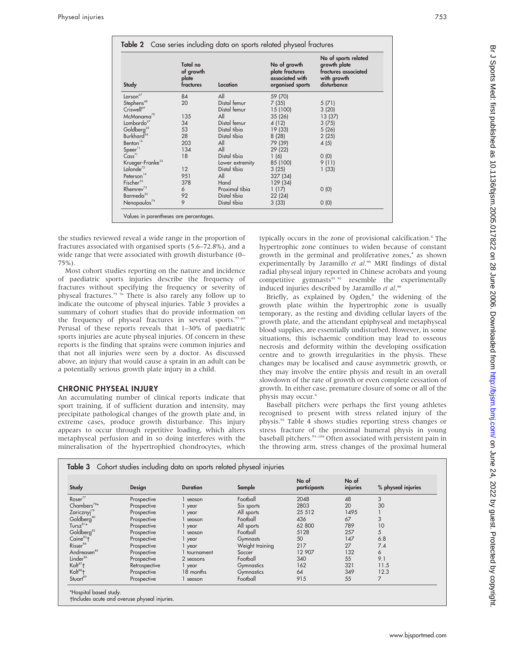| Study                        | Total no<br>of growth<br>plate<br>fractures | Location        | No of growth<br>plate fractures<br>associated with<br>organised sports | No of sports related<br>growth plate<br>fractures associated<br>with growth<br>disturbance |
|------------------------------|---------------------------------------------|-----------------|------------------------------------------------------------------------|--------------------------------------------------------------------------------------------|
| Larson <sup>67</sup>         | 84                                          | All             | 59 (70)                                                                |                                                                                            |
| Stephens <sup>68</sup>       | 20                                          | Distal femur    | 7(35)                                                                  | 5(71)                                                                                      |
| Criswell <sup>69</sup>       |                                             | Distal femur    | 15 (100)                                                               | 3(20)                                                                                      |
| McManama <sup>70</sup>       | 135                                         | All             | 35(26)                                                                 | 13 (37)                                                                                    |
| Lombardo <sup>27</sup>       | 34                                          | Distal femur    | 4 (12)                                                                 | 3(75)                                                                                      |
| Goldberg <sup>25</sup>       | 53                                          | Distal tibia    | 19(33)                                                                 | 5(26)                                                                                      |
| Burkhard <sup>24</sup>       | 28                                          | Distal tibia    | 8(28)                                                                  | 2(25)                                                                                      |
| Benton <sup>16</sup>         | 203                                         | All             | 79 (39)                                                                | 4(5)                                                                                       |
| Speer <sup>11</sup>          | 134                                         | All             | 29 (22)                                                                |                                                                                            |
| $\text{Cass}^{71}$           | 18                                          | Distal tibia    | 1(6)                                                                   | 0(0)                                                                                       |
| Krueger-Franke <sup>33</sup> |                                             | Lower extremity | 85 (100)                                                               | 9(11)                                                                                      |
| Lalonde <sup>72</sup>        | 12                                          | Distal tibia    | 3(25)                                                                  | 1(33)                                                                                      |
| Peterson <sup>14</sup>       | 951                                         | All             | 327 (34)                                                               |                                                                                            |
| Fischer <sup>32</sup>        | 378                                         | Hand            | 129 (34)                                                               |                                                                                            |
| Rhemrev <sup>73</sup>        | 6                                           | Proximal tibia  | 1(17)                                                                  | 0(0)                                                                                       |
| Barmeda <sup>22</sup>        | 92                                          | Distal tibia    | 22(24)                                                                 |                                                                                            |
| Nenopaulos $^{74}$           | 9                                           | Distal tibia    | 3(33)                                                                  | 0(0)                                                                                       |

the studies reviewed reveal a wide range in the proportion of fractures associated with organised sports (5.6–72.8%), and a wide range that were associated with growth disturbance (0– 75%).

Most cohort studies reporting on the nature and incidence of paediatric sports injuries describe the frequency of fractures without specifying the frequency or severity of physeal fractures.75 76 There is also rarely any follow up to indicate the outcome of physeal injuries. Table 3 provides a summary of cohort studies that do provide information on the frequency of physeal fractures in several sports.<sup>77-89</sup> Perusal of these reports reveals that 1–30% of paediatric sports injuries are acute physeal injuries. Of concern in these reports is the finding that sprains were common injuries and that not all injuries were seen by a doctor. As discussed above, an injury that would cause a sprain in an adult can be a potentially serious growth plate injury in a child.

#### CHRONIC PHYSEAL INJURY

An accumulating number of clinical reports indicate that sport training, if of sufficient duration and intensity, may precipitate pathological changes of the growth plate and, in extreme cases, produce growth disturbance. This injury appears to occur through repetitive loading, which alters metaphyseal perfusion and in so doing interferes with the mineralisation of the hypertrophied chondrocytes, which typically occurs in the zone of provisional calcification.<sup>4</sup> The hypertrophic zone continues to widen because of constant growth in the germinal and proliferative zones,<sup>4</sup> as shown experimentally by Jaramillo et al.<sup>90</sup> MRI findings of distal radial physeal injury reported in Chinese acrobats and young competitive gymnasts<sup>91 92</sup> resemble the experimentally induced injuries described by Jaramillo et al.<sup>90</sup>

Briefly, as explained by Ogden,<sup>4</sup> the widening of the growth plate within the hypertrophic zone is usually temporary, as the resting and dividing cellular layers of the growth plate, and the attendant epiphyseal and metaphyseal blood supplies, are essentially undisturbed. However, in some situations, this ischaemic condition may lead to osseous necrosis and deformity within the developing ossification centre and to growth irregularities in the physis. These changes may be localised and cause asymmetric growth, or they may involve the entire physis and result in an overall slowdown of the rate of growth or even complete cessation of growth. In either case, premature closure of some or all of the physis may occur.<sup>4</sup>

Baseball pitchers were perhaps the first young athletes recognised to present with stress related injury of the physis.93 Table 4 shows studies reporting stress changes or stress fracture of the proximal humeral physis in young baseball pitchers.93–104 Often associated with persistent pain in the throwing arm, stress changes of the proximal humeral

|                            |               |                 |                 | No of        | No of    |                    |
|----------------------------|---------------|-----------------|-----------------|--------------|----------|--------------------|
| Study                      | Design        | <b>Duration</b> | Sample          | participants | injuries | % physeal injuries |
| Roser <sup>77</sup>        | Prospective   | season          | Football        | 2048         | 48       | 3                  |
| Chambers <sup>78*</sup>    | Prospective   | l year          | Six sports      | 2803         | 20       | 30                 |
| Zaricznyj <sup>79</sup>    | Prospective   | l year          | All sports      | 25 512       | 1495     |                    |
| Goldberg <sup>80</sup>     | Prospective   | season          | Football        | 436          | 67       | 3                  |
| Tursz <sup>81*</sup>       | Prospective   | l year          | All sports      | 62 800       | 789      | 10                 |
| Goldberg <sup>82</sup>     | Prospective   | season          | Football        | 5128         | 257      | 5                  |
| Caine <sup>83</sup> t      | Prospective   | l year          | <b>Gymnasts</b> | 50           | 147      | 6.8                |
| Risser <sup>84</sup>       | Prospective   | l year          | Weight training | 217          | 27       | 7.4                |
| Andreasen <sup>85</sup>    | Prospective   | 1 tournament    | Soccer          | 12 907       | 132      | 6                  |
| Linder <sup>86</sup>       | Prospective   | 2 seasons       | Football        | 340          | 55       | 9.1                |
| $K$ olt $87$ <sup>87</sup> | Retrospective | 1 year          | Gymnastics      | 162          | 321      | 11.5               |
| Kolt <sup>88</sup> t       | Prospective   | 18 months       | Gymnastics      | 64           | 349      | 12.3               |
| Stuart <sup>89</sup>       | Prospective   | season          | Football        | 915          | 55       | 7                  |

-Includes acute and overuse physeal injuries.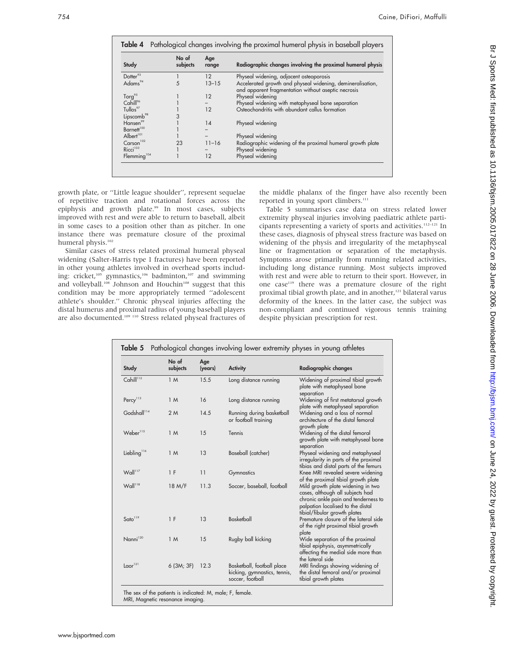| Study                   | No of<br>subjects | Age<br>range | Radiographic changes involving the proximal humeral physis                                                        |
|-------------------------|-------------------|--------------|-------------------------------------------------------------------------------------------------------------------|
| Dotter <sup>93</sup>    |                   | 12           | Physeal widening, adjacent osteoporosis                                                                           |
| Adams <sup>94</sup>     | 5                 | $13 - 15$    | Accelerated growth and physeal widening, demineralisation,<br>and apparent fragmentation without aseptic necrosis |
| Torg $^{95}$            |                   | 12           | Physeal widening                                                                                                  |
| Cahill <sup>96</sup>    |                   |              | Physeal widening with metaphyseal bone separation                                                                 |
| Tullos <sup>97</sup>    |                   | 12           | Osteochondritis with abundant callus formation                                                                    |
| Lipscomb <sup>98</sup>  | 3                 |              |                                                                                                                   |
| Hansen <sup>99</sup>    |                   | 14           | Physeal widening                                                                                                  |
| Barnett <sup>100</sup>  |                   |              |                                                                                                                   |
| Albert <sup>101</sup>   |                   |              | Physeal widening                                                                                                  |
| Carson <sup>102</sup>   | 23                | $11 - 16$    | Radiographic widening of the proximal humeral growth plate                                                        |
| Ricci <sup>103</sup>    |                   |              | Physeal widening                                                                                                  |
| Flemming <sup>104</sup> |                   | 12           | Physeal widening                                                                                                  |

growth plate, or ''Little league shoulder'', represent sequelae of repetitive traction and rotational forces across the epiphysis and growth plate.<sup>99</sup> In most cases, subjects improved with rest and were able to return to baseball, albeit in some cases to a position other than as pitcher. In one instance there was premature closure of the proximal humeral physis.<sup>102</sup>

Similar cases of stress related proximal humeral physeal widening (Salter-Harris type 1 fractures) have been reported in other young athletes involved in overhead sports including: cricket,<sup>105</sup> gymnastics,<sup>106</sup> badminton,<sup>107</sup> and swimming and volleyball.<sup>108</sup> Johnson and Houchin<sup>108</sup> suggest that this condition may be more appropriately termed ''adolescent athlete's shoulder.'' Chronic physeal injuries affecting the distal humerus and proximal radius of young baseball players are also documented.<sup>109 110</sup> Stress related physeal fractures of the middle phalanx of the finger have also recently been reported in young sport climbers.<sup>111</sup>

Table 5 summarises case data on stress related lower extremity physeal injuries involving paediatric athlete participants representing a variety of sports and activities.<sup>112-121</sup> In these cases, diagnosis of physeal stress fracture was based on widening of the physis and irregularity of the metaphyseal line or fragmentation or separation of the metaphysis. Symptoms arose primarily from running related activities, including long distance running. Most subjects improved with rest and were able to return to their sport. However, in one case<sup>119</sup> there was a premature closure of the right proximal tibial growth plate, and in another,<sup>121</sup> bilateral varus deformity of the knees. In the latter case, the subject was non-compliant and continued vigorous tennis training despite physician prescription for rest.

| Study                           | No of<br>subjects | Age<br>(years) | <b>Activity</b>                                                                | Radiographic changes                                                                                                                                                               |
|---------------------------------|-------------------|----------------|--------------------------------------------------------------------------------|------------------------------------------------------------------------------------------------------------------------------------------------------------------------------------|
| Cahill <sup>112</sup>           | 1 M               | 15.5           | Long distance running                                                          | Widening of proximal tibial growth<br>plate with metaphyseal bone<br>separation                                                                                                    |
| Percy <sup>113</sup>            | 1M                | 16             | Long distance running                                                          | Widening of first metatarsal growth<br>plate with metaphyseal separation                                                                                                           |
| Godshall <sup>114</sup>         | 2M                | 14.5           | Running during basketball<br>or football training                              | Widening and a loss of normal<br>architecture of the distal femoral<br>growth plate                                                                                                |
| Weber <sup>115</sup>            | 1M                | 15             | Tennis                                                                         | Widening of the distal femoral<br>growth plate with metaphyseal bone<br>separation                                                                                                 |
| Liebling <sup>116</sup>         | 1 M               | 13             | <b>Baseball (catcher)</b>                                                      | Physeal widening and metaphyseal<br>irregularity in parts of the proximal<br>tibias and distal parts of the femurs                                                                 |
| $W$ all <sup>117</sup>          | 1 F               | 11             | Gymnastics                                                                     | Knee MRI revealed severe widening<br>of the proximal tibial growth plate                                                                                                           |
| Wall <sup>118</sup>             | 18 M/F            | 11.3           | Soccer, baseball, football                                                     | Mild growth plate widening in two<br>cases, although all subjects had<br>chronic ankle pain and tenderness to<br>palpation localised to the distal<br>tibial/fibular growth plates |
| Sato <sup>119</sup>             | 1 F               | 13             | Basketball                                                                     | Premature closure of the lateral side<br>of the right proximal tibial growth<br>plate                                                                                              |
| Nanni <sup>120</sup>            | 1 M               | 15             | Rugby ball kicking                                                             | Wide separation of the proximal<br>tibial epiphysis, asymmetrically<br>affecting the medial side more than<br>the lateral side                                                     |
| L <sub>qor</sub> <sup>121</sup> | $6$ ( $3M; 3F$ )  | 12.3           | Basketball, football place<br>kicking, gymnastics, tennis,<br>soccer, football | MRI findings showing widening of<br>the distal femoral and/or proximal<br>tibial growth plates                                                                                     |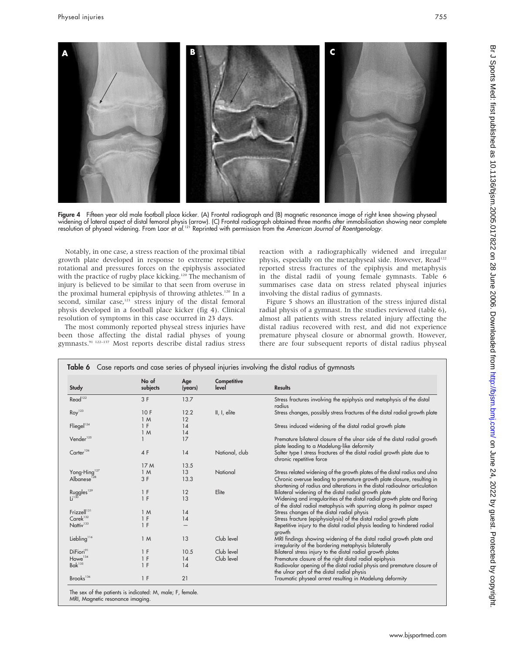

Figure 4 Fifteen year old male football place kicker. (A) Frontal radiograph and (B) magnetic resonance image of right knee showing physeal widening of lateral aspect of distal femoral physis (arrow). (C) Frontal radiograph obtained three months after immobilisation showing near complete resolution of physeal widening. From Laor *et al.*<sup>121</sup> Reprinted with permission from the A*merican Journal of Roentgenology*.

Notably, in one case, a stress reaction of the proximal tibial growth plate developed in response to extreme repetitive rotational and pressures forces on the epiphysis associated with the practice of rugby place kicking.<sup>120</sup> The mechanism of injury is believed to be similar to that seen from overuse in the proximal humeral epiphysis of throwing athletes.<sup>120</sup> In a second, similar case,<sup>121</sup> stress injury of the distal femoral physis developed in a football place kicker (fig 4). Clinical resolution of symptoms in this case occurred in 23 days.

The most commonly reported physeal stress injuries have been those affecting the distal radial physes of young gymnasts.91 122–137 Most reports describe distal radius stress

reaction with a radiographically widened and irregular physis, especially on the metaphyseal side. However, Read<sup>122</sup> reported stress fractures of the epiphysis and metaphysis in the distal radii of young female gymnasts. Table 6 summarises case data on stress related physeal injuries involving the distal radius of gymnasts.

Figure 5 shows an illustration of the stress injured distal radial physis of a gymnast. In the studies reviewed (table 6), almost all patients with stress related injury affecting the distal radius recovered with rest, and did not experience premature physeal closure or abnormal growth. However, there are four subsequent reports of distal radius physeal

| Study                                               | No of<br>subjects | Age<br>(years) | Competitive<br>level | <b>Results</b>                                                                                                                                        |
|-----------------------------------------------------|-------------------|----------------|----------------------|-------------------------------------------------------------------------------------------------------------------------------------------------------|
| Read <sup>122</sup>                                 | 3F                | 13.7           |                      | Stress fractures involving the epiphysis and metaphysis of the distal<br>radius                                                                       |
| $\text{Roy}^{123}$                                  | 10F<br>1M         | 12.2<br>12     | II, I, elite         | Stress changes, possibly stress fractures of the distal radial growth plate                                                                           |
| Fliegel <sup>124</sup>                              | 1 F<br>1M         | 14<br>14       |                      | Stress induced widening of the distal radial growth plate                                                                                             |
| Vender <sup>125</sup>                               |                   | 17             |                      | Premature bilateral closure of the ulnar side of the distal radial growth<br>plate leading to a Madelung-like deformity                               |
| Carter <sup>126</sup>                               | 4F                | 14             | National, club       | Salter type I stress fractures of the distal radial growth plate due to<br>chronic repetitive force                                                   |
|                                                     | 17 M              | 13.5           |                      |                                                                                                                                                       |
| Yong-Hing <sup>127</sup><br>Albanese <sup>128</sup> | 1 M               | 13             | National             | Stress related widening of the growth plates of the distal radius and ulna                                                                            |
|                                                     | 3F                | 13.3           |                      | Chronic overuse leading to premature growth plate closure, resulting in<br>shortening of radius and alterations in the distal radioulnar articulation |
|                                                     | 1 F               | 12             | Elite                | Bilateral widening of the distal radial growth plate                                                                                                  |
| Ruggles <sup>129</sup>                              | 1 F               | 13             |                      | Widening and irregularities of the distal radial growth plate and flaring<br>of the distal radial metaphysis with spurring along its palmar aspect    |
| Frizzell <sup>131</sup>                             | 1 M               | 14             |                      | Stress changes of the distal radial physis                                                                                                            |
| Carek <sup>132</sup>                                | 1 F               | 14             |                      | Stress fracture (epiphysiolysis) of the distal radial growth plate                                                                                    |
| Nattiv <sup>133</sup>                               | 1 F               | —              |                      | Repetitive injury to the distal radial physis leading to hindered radial<br>growth                                                                    |
| Liebling <sup>116</sup>                             | 1 M               | 13             | Club level           | MRI findings showing widening of the distal radial growth plate and<br>irregularity of the bordering metaphysis bilaterally                           |
| DiFiori <sup>91</sup>                               | 1 F               | 10.5           | Club level           | Bilateral stress injury to the distal radial growth plates                                                                                            |
| Howe <sup>134</sup>                                 | 1 F               | 14             | Club level           | Premature closure of the right distal radial epiphysis                                                                                                |
| Bak <sup>135</sup>                                  | 1 F               | 14             |                      | Radiovolar opening of the distal radial physis and premature closure of<br>the ulnar part of the distal radial physis                                 |
| Brooks <sup>136</sup>                               | 1 F               | 21             |                      | Traumatic physeal arrest resulting in Madelung deformity                                                                                              |

MRI, Magnetic resonance imaging.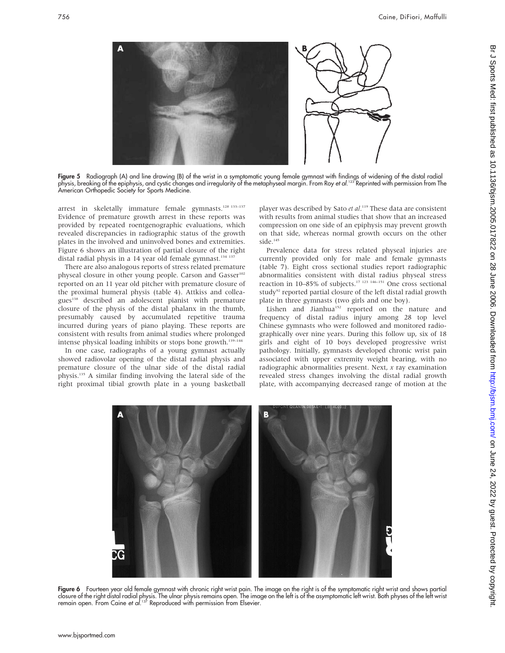

Figure 5 Radiograph (A) and line drawing (B) of the wrist in a symptomatic young female gymnast with findings of widening of the distal radial physis, breaking of the epiphysis, and cystic changes and irregularity of the metaphyseal margin. From Roy *et al.* 123 Reprinted with permission from The American Orthopedic Society for Sports Medicine.

arrest in skeletally immature female gymnasts.128 133–137 Evidence of premature growth arrest in these reports was provided by repeated roentgenographic evaluations, which revealed discrepancies in radiographic status of the growth plates in the involved and uninvolved bones and extremities. Figure 6 shows an illustration of partial closure of the right distal radial physis in a 14 year old female gymnast.<sup>134 137</sup>

There are also analogous reports of stress related premature physeal closure in other young people. Carson and Gasser<sup>102</sup> reported on an 11 year old pitcher with premature closure of the proximal humeral physis (table 4). Attkiss and colleagues<sup>138</sup> described an adolescent pianist with premature closure of the physis of the distal phalanx in the thumb, presumably caused by accumulated repetitive trauma incurred during years of piano playing. These reports are consistent with results from animal studies where prolonged intense physical loading inhibits or stops bone growth.<sup>139–144</sup>

In one case, radiographs of a young gymnast actually showed radiovolar opening of the distal radial physis and premature closure of the ulnar side of the distal radial physis.135 A similar finding involving the lateral side of the right proximal tibial growth plate in a young basketball

player was described by Sato et al.<sup>119</sup> These data are consistent with results from animal studies that show that an increased compression on one side of an epiphysis may prevent growth on that side, whereas normal growth occurs on the other side.<sup>145</sup>

Prevalence data for stress related physeal injuries are currently provided only for male and female gymnasts (table 7). Eight cross sectional studies report radiographic abnormalities consistent with distal radius physeal stress reaction in 10–85% of subjects.17 123 146–151 One cross sectional study<sup>92</sup> reported partial closure of the left distal radial growth plate in three gymnasts (two girls and one boy).

Lishen and Jianhua<sup>152</sup> reported on the nature and frequency of distal radius injury among 28 top level Chinese gymnasts who were followed and monitored radiographically over nine years. During this follow up, six of 18 girls and eight of 10 boys developed progressive wrist pathology. Initially, gymnasts developed chronic wrist pain associated with upper extremity weight bearing, with no radiographic abnormalities present. Next, x ray examination revealed stress changes involving the distal radial growth plate, with accompanying decreased range of motion at the



Figure 6 Fourteen year old female gymnast with chronic right wrist pain. The image on the right is of the symptomatic right wrist and shows partial closure of the right distal radial physis. The ulnar physis remains open. The image on the left is of the asymptomatic left wrist. Both physes of the left wrist remain open. From Caine *et al*.<sup>137</sup> Reproduced with permission from Elsevier.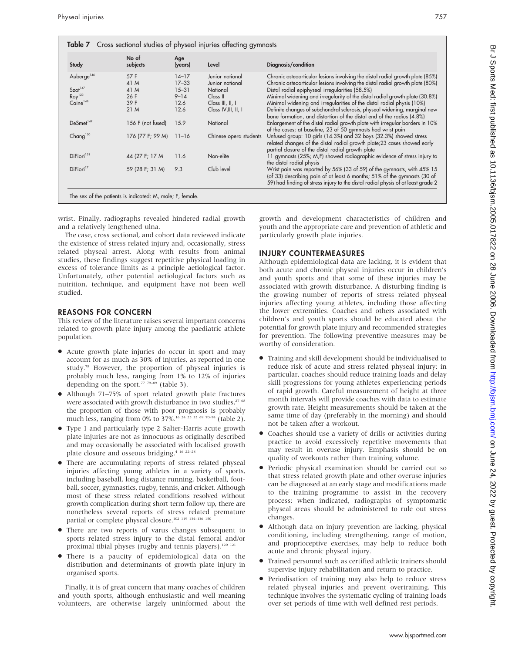| Study                  | No of<br>subjects | Age<br>(years) | Level                  | Diagnosis/condition                                                                                                                                                                                                                    |
|------------------------|-------------------|----------------|------------------------|----------------------------------------------------------------------------------------------------------------------------------------------------------------------------------------------------------------------------------------|
| Auberge <sup>146</sup> | 57 F              | $14-17$        | Junior national        | Chronic osteoarticular lesions involving the distal radial growth plate (85%)                                                                                                                                                          |
|                        | 41 M              | $17 - 33$      | Junior national        | Chronic osteoarticular lesions involving the distal radial growth plate (80%)                                                                                                                                                          |
| Szot <sup>147</sup>    | 41 M              | $15 - 31$      | National               | Distal radial epiphyseal irregularities (58.5%)                                                                                                                                                                                        |
| $\text{Roy}^{123}$     | 26 F              | $9 - 14$       | Class II               | Minimal widening and irregularity of the distal radial growth plate (30.8%)                                                                                                                                                            |
| Caine <sup>148</sup>   | 39 F              | 12.6           | Class III, II, I       | Minimal widening and irregularities of the distal radial physis (10%)                                                                                                                                                                  |
|                        | 21 M              | 12.6           | Class $IV, III, II, I$ | Definite changes of subchondral sclerosis, physeal widening, marginal new<br>bone formation, and distortion of the distal end of the radius (4.8%)                                                                                     |
| DeSme <sup>149</sup>   | 156 F (not fused) | 15.9           | National               | Enlargement of the distal radial growth plate with irregular borders in 10%<br>of the cases; at baseline, 23 of 50 gymnasts had wrist pain                                                                                             |
| Chang <sup>150</sup>   | 176 (77 F; 99 M)  | $11 - 16$      | Chinese opera students | Unfused group: 10 girls (14.3%) and 32 boys (32.3%) showed stress<br>related changes of the distal radial growth plate; 23 cases showed early<br>partial closure of the distal radial growth plate                                     |
| DiFiori <sup>151</sup> | 44 (27 F; 17 M    | 11.6           | Non-elite              | 11 gymnasts (25%; M,F) showed radiographic evidence of stress injury to<br>the distal radial physis                                                                                                                                    |
| DiFiori <sup>17</sup>  | 59 (28 F; 31 M)   | 9.3            | Club level             | Wrist pain was reported by 56% (33 of 59) of the gymnasts, with 45% 15<br>(of 33) describing pain of at least 6 months; 51% of the gymnasts (30 of<br>59) had finding of stress injury to the distal radial physis of at least grade 2 |

The sex of the patients is indicated: M, male; F, female.

wrist. Finally, radiographs revealed hindered radial growth and a relatively lengthened ulna.

The case, cross sectional, and cohort data reviewed indicate the existence of stress related injury and, occasionally, stress related physeal arrest. Along with results from animal studies, these findings suggest repetitive physical loading in excess of tolerance limits as a principle aetiological factor. Unfortunately, other potential aetiological factors such as nutrition, technique, and equipment have not been well studied.

#### REASONS FOR CONCERN

This review of the literature raises several important concerns related to growth plate injury among the paediatric athlete population.

- N Acute growth plate injuries do occur in sport and may account for as much as 30% of injuries, as reported in one study.78 However, the proportion of physeal injuries is probably much less, ranging from 1% to 12% of injuries depending on the sport.<sup> $7779-89$ </sup> (table 3).
- Although 71–75% of sport related growth plate fractures were associated with growth disturbance in two studies,<sup>27 68</sup> the proportion of those with poor prognosis is probably much less, ranging from 0% to  $37\%$ .<sup>16 24 25</sup> 33 69 70-74 (table 2).
- N Type 1 and particularly type 2 Salter-Harris acute growth plate injuries are not as innocuous as originally described and may occasionally be associated with localised growth plate closure and osseous bridging.4 16 22–28
- There are accumulating reports of stress related physeal injuries affecting young athletes in a variety of sports, including baseball, long distance running, basketball, football, soccer, gymnastics, rugby, tennis, and cricket. Although most of these stress related conditions resolved without growth complication during short term follow up, there are nonetheless several reports of stress related premature partial or complete physeal closure.<sup>102 119</sup> <sup>134-136</sup> <sup>150</sup>
- N There are two reports of varus changes subsequent to sports related stress injury to the distal femoral and/or proximal tibial physes (rugby and tennis players).<sup>120 121</sup>
- N There is a paucity of epidemiological data on the distribution and determinants of growth plate injury in organised sports.

Finally, it is of great concern that many coaches of children and youth sports, although enthusiastic and well meaning volunteers, are otherwise largely uninformed about the

growth and development characteristics of children and youth and the appropriate care and prevention of athletic and particularly growth plate injuries.

### INJURY COUNTERMEASURES

Although epidemiological data are lacking, it is evident that both acute and chronic physeal injuries occur in children's and youth sports and that some of these injuries may be associated with growth disturbance. A disturbing finding is the growing number of reports of stress related physeal injuries affecting young athletes, including those affecting the lower extremities. Coaches and others associated with children's and youth sports should be educated about the potential for growth plate injury and recommended strategies for prevention. The following preventive measures may be worthy of consideration.

- N Training and skill development should be individualised to reduce risk of acute and stress related physeal injury; in particular, coaches should reduce training loads and delay skill progressions for young athletes experiencing periods of rapid growth. Careful measurement of height at three month intervals will provide coaches with data to estimate growth rate. Height measurements should be taken at the same time of day (preferably in the morning) and should not be taken after a workout.
- Coaches should use a variety of drills or activities during practice to avoid excessively repetitive movements that may result in overuse injury. Emphasis should be on quality of workouts rather than training volume.
- N Periodic physical examination should be carried out so that stress related growth plate and other overuse injuries can be diagnosed at an early stage and modifications made to the training programme to assist in the recovery process; when indicated, radiographs of symptomatic physeal areas should be administered to rule out stress changes.
- Although data on injury prevention are lacking, physical conditioning, including strengthening, range of motion, and proprioceptive exercises, may help to reduce both acute and chronic physeal injury.
- N Trained personnel such as certified athletic trainers should supervise injury rehabilitation and return to practice.
- Periodisation of training may also help to reduce stress related physeal injuries and prevent overtraining. This technique involves the systematic cycling of training loads over set periods of time with well defined rest periods.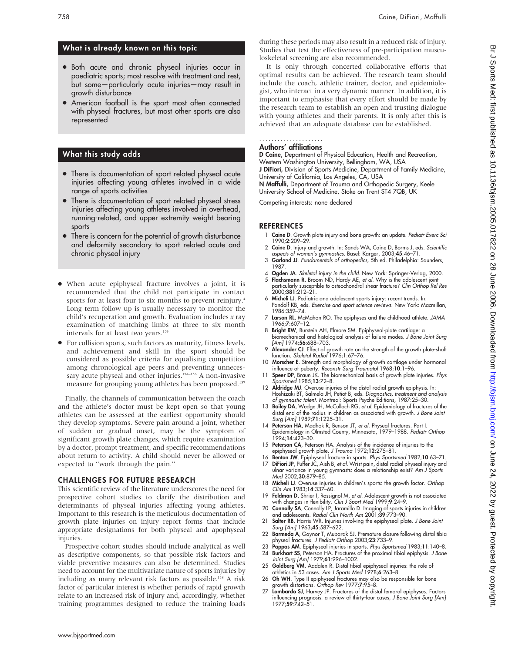## What is already known on this topic

- Both acute and chronic physeal injuries occur in paediatric sports; most resolve with treatment and rest, but some—particularly acute injuries—may result in growth disturbance
- American football is the sport most often connected with physeal fractures, but most other sports are also represented

## What this study adds

- There is documentation of sport related physeal acute injuries affecting young athletes involved in a wide range of sports activities
- There is documentation of sport related physeal stress injuries affecting young athletes involved in overhead, running-related, and upper extremity weight bearing sports
- There is concern for the potential of growth disturbance and deformity secondary to sport related acute and chronic physeal injury
- When acute epiphyseal fracture involves a joint, it is recommended that the child not participate in contact sports for at least four to six months to prevent reinjury.<sup>4</sup> Long term follow up is usually necessary to monitor the child's recuperation and growth. Evaluation includes  $x$  ray examination of matching limbs at three to six month intervals for at least two years.<sup>153</sup>
- N For collision sports, such factors as maturity, fitness levels, and achievement and skill in the sport should be considered as possible criteria for equalising competition among chronological age peers and preventing unnecessary acute physeal and other injuries.<sup>154–156</sup> A non-invasive measure for grouping young athletes has been proposed.<sup>157</sup>

Finally, the channels of communication between the coach and the athlete's doctor must be kept open so that young athletes can be assessed at the earliest opportunity should they develop symptoms. Severe pain around a joint, whether of sudden or gradual onset, may be the symptom of significant growth plate changes, which require examination by a doctor, prompt treatment, and specific recommendations about return to activity. A child should never be allowed or expected to ''work through the pain.''

### CHALLENGES FOR FUTURE RESEARCH

This scientific review of the literature underscores the need for prospective cohort studies to clarify the distribution and determinants of physeal injuries affecting young athletes. Important to this research is the meticulous documentation of growth plate injuries on injury report forms that include appropriate designations for both physeal and apophyseal injuries.

Prospective cohort studies should include analytical as well as descriptive components, so that possible risk factors and viable preventive measures can also be determined. Studies need to account for the multivariate nature of sports injuries by including as many relevant risk factors as possible.<sup>158</sup> A risk factor of particular interest is whether periods of rapid growth relate to an increased risk of injury and, accordingly, whether training programmes designed to reduce the training loads

during these periods may also result in a reduced risk of injury. Studies that test the effectiveness of pre-participation musculoskeletal screening are also recommended.

It is only through concerted collaborative efforts that optimal results can be achieved. The research team should include the coach, athletic trainer, doctor, and epidemiologist, who interact in a very dynamic manner. In addition, it is important to emphasise that every effort should be made by the research team to establish an open and trusting dialogue with young athletes and their parents. It is only after this is achieved that an adequate database can be established.

#### Authors' affiliations .....................

D Caine, Department of Physical Education, Health and Recreation, Western Washington University, Bellingham, WA, USA J DiFiori, Division of Sports Medicine, Department of Family Medicine, University of California, Los Angeles, CA, USA

N Maffulli, Department of Trauma and Orthopedic Surgery, Keele

University School of Medicine, Stoke on Trent ST4 7QB, UK

Competing interests: none declared

## **REFERENCES**

- Caine D. Growth plate injury and bone growth: an update. Pediatr Exerc Sci 1990;2:209–29.
- 2 Caine D. Injury and growth. In: Sands WA, Caine D, Borms J, eds. Scientific
- aspects of women's gymnastics. Basel: Karger, 2003;**45**:46–71.<br>3 **Garland JJ**. Fundamentals of orthopedics, 5th ed. Philadelphia: Saunders, 1987.
- 4 Ogden JA. Skeletal injury in the child. New York: Springer-Verlag, 2000.
- 5 Flachsmann R, Broom ND, Hardy AE, et al. Why is the adolescent joint particularly susceptible to osteochondral shear fracture? Clin Orthop Rel Res  $2000:381:212-21.$
- 6 Micheli LJ. Pediatric and adolescent sports injury: recent trends. In: Pandolf KB, eds. Exercise and sport science reviews. New York: Macmillan, 1986:359–74.
- Larson RL, McMahon RO. The epiphyses and the childhood athlete. JAMA 1966;7:607–12.
- 8 Bright RW, Burstein AH, Elmore SM. Epiphyseal-plate cartilage: a biomechanical and histological analysis of failure modes. J Bone Joint Surg [Am] 1974;56:688-703.
- 9 Alexander CJ. Effect of growth rate on the strength of the growth plate-shaft function. Skeletal Radiol 1976;1:67–76.
- 
- 10 Morscher E. Strength and morphology of growth cartilage under hormonal<br>1968;10:1-96. Influence of puberty. Reconstr Surg Traumatol 1968;10:1-96.<br>11 Speer DP, Braun JK. The biomechanical basis of growth plate injuries. P
- 12 Aldridge MJ. Overuse injuries of the distal radial growth epiphysis. In: Hoshizaki BT, Salmela JH, Petiot B, eds. Diagnostics, treatment and analysis of gymnastic talent. Montreal: Sports Psyche Editions, 1987:25–30.
- 13 Bailey DA, Wedge JH, McCulloch RG, et al. Epidemiology of fractures of the distal end of the radius in children as associated with growth. J Bone Joint Surg [Am] 1989;71:1225–31.
- 14 Peterson HA, Madhok R, Benson JT, et al. Physeal fractures. Part I. Epidemiology in Olmsted County, Minnesota, 1979–1988. *Pediatr Orthop*<br>1994;**14**:423–30.
- 15 Peterson CA, Peterson HA. Analysis of the incidence of injuries to the epiphyseal growth plate. J Trauma 1972;12:275–81.
- 16 Benton JW. Epiphyseal fracture in sports. Phys Sportsmed 1982;10:63-71.
- 17 DiFiori JP, Puffer JC, Aish B, et al. Wrist pain, distal radial physeal injury and ulnar variance in young gymnasts: does a relationship exist? Am J Sports Med 2002;**30**:879–85.
- 18 Micheli LJ. Overuse injuries in children's sports: the growth factor. Orthop Clin Am 1983;14:337–60.
- 19 Feldman D, Shrier I, Rossignol M, et al. Adolescent growth is not associated
- with changes in flexibility. *Clin J Sport Med* 1999;**9**:24–9.<br>20 **Connolly SA**, Connolly LP, Jaramillo D. Imaging of sports injuries in children<br>1**001;39:**773–90.
- 21 **Salter RB**, Harris WR. Injuries involving the epiphyseal plate. *J Bone Joint*<br>Surg [Am] 1963;**45**:587–622.
- 22 **Barmeda A**, Gaynor T, Mubarak SJ. Premature closure tollowing distal tibia<br>physeal fractures. *J Pediatr Orthop* 2003;**23**:733–9.<br>23 **Pappas AM**. Epiphyseal injuries in sports. *Phys Sportsmed* 1983;11:140–8.
- 
- 24 Burkhart SS, Peterson HA. Fractures of the proximal tibial epiphysis. J Bone Joint Surg [Am] 1979;61:996-1002.
- 25 Goldberg VM, Aadalen R. Distal tibial epiphyseal injuries: the role of athletics in 53 cases. Am J Sports Med 1978;6:263-8.
- 26 Oh WH. Type II epiphyseal fractures may also be responsible for bone growth distortions. Orthop Rev 1977;7:95–8.
- 27 Lombardo SJ, Harvey JP. Fractures of the distal femoral epiphyses. Factors influencing prognosis: a review of thirty-four cases, J Bone Joint Surg [Am]<br>1977;**59**:742–51.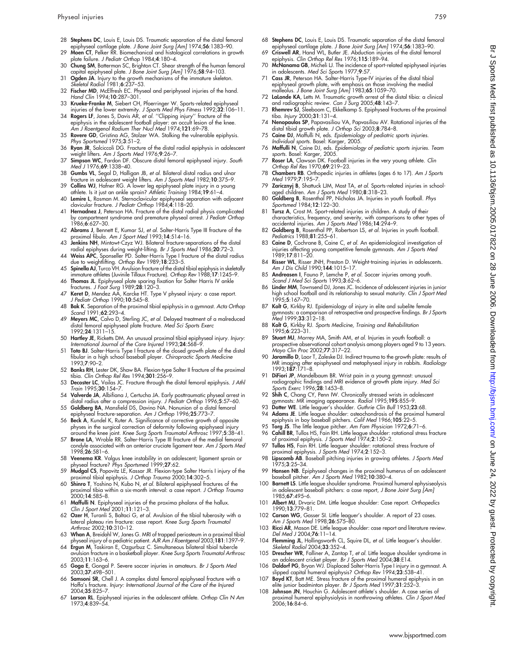- 28 Stephens DC, Louis E, Louis DS. Traumatic separation of the distal femoral epiphyseal cartilage plate. J Bone Joint Surg [Am] 1974;56:1383–90.
- 29 Moen CT, Pelker RR. Biomechanical and histological correlations in growth plate failure. J Pediatr Orthop 1984;4:180–4.
- 30 Chung SM, Batterman SC, Brighton CT. Shear strength of the human femoral capital epiphyseal plate. J Bone Joint Surg [Am] 1976;58:94–103.
- 31 Ogden JA. Injury to the growth mechanisms of the immature skeleton. Skeletal Radiol 1981;6:237–53.
- 32 Fischer MD, McElfresh EC. Physeal and periphyseal injuries of the hand. Hand Clin 1994;10:287–301.
- 33 Krueke-Franke M, Siebert CH, Ptoerringer W. Sports-related epiphyseal<br>injuries of the lower extremity. *J Sports Med Phys Fitness* 1992;**32**:106–11.<br>34 Rogers LF, Jones S, Davis AR, *et al. ''*Clipping injury'' fracture
- epiphysis in the adolescent football player: an occult lesion of the knee. Am J Roentgenol Radium Ther Nucl Med 1974;121:69–78.
- 35 Rovere GD, Gristina AG, Stolzer WA. Stalking the vulnerable epiphysis. Phys Sportsmed 1975;3:51-2.
- 36 Ryan JR, Salciccoli DG. Fracture of the distal radial epiphysis in adolescent weight lifters. Am J Sports Med 1976;9:26–7. 37 Simpson WC, Fardon DF. Obscure distal femoral epiphyseal injury. South
- Med J 1976;69:1338–40. 38 Gumbs VL, Segal D, Halligan JB, et al. Bilateral distal radius and ulnar
- fracture in adolescent weight lifters. Am J Sports Med 1982;10:375–9.
- 39 Collins WJ, Hafner RG. A lower leg epiphyseal plate injury in a young athlete. Is it just an ankle sprain? Athletic Training 1984;19:61–4.
- 40 Lemire L, Rosman M. Sternoclavicular epiphyseal separation with adjacent clavicular fracture. J Pediatr Orthop 1984;4:118–20. 41 **Hernadnez J**, Peterson HA. Fracture of the distal radial physis complicated
- by compartment syndrome and premature physeal arrest. J Pediatr Orthop 1986;6:627–30.
- 42 Abrams J, Bennett E, Kumar SJ, et al. Salter-Harris Type III fracture of the proximal fibula. Am J Sport Med 1993;14:514–16.
- 43 Jenkins NH, Mintowt-Czyz WJ. Bilateral fracture-separations of the distal radial epiphyses during weight-lifting. Br J Sports Med 1986;20:72–3.
- 44 Weiss APC, Sponseller PD. Salter-Harris Type I fracture of the distal radius<br>due to weightlifting. Orthop Rev 1989;18:233–5.<br>45 Spinella AJ, Turco VH. Avulsion fracture of the distal tibial epiphysis in skeletally
- immature athletes (Juvinile Tillaux Fracture). Orthop Rev 1988;17:1245–9. 46 Thomas JL. Epiphyseal plate sparing fixation for Salter Harris IV ankle
- fractures. J Foot Surg 1989;28:120–3. 47 Keret D, Mendez AA, Karcke HT. Type V physeal injury: a case report. J Pediatr Orthop 1990;10:545–8.
- 48 Bak K. Separation of the proximal tibial epiphysis in a gymnast. Acta Orthop Scand 1991;62:293-4.
- 49 Meyers MC, Calvo D, Sterling JC, et al. Delayed treatment of a malreduced distal femoral epiphyseal plate fracture. Med Sci Sports Exerc 1992;24:1311–15.
- 50 Hartley JE, Ricketts DM. An unusual proximal tibial epiphyseal injury. Injury: International Journal of the Care Injured 1993;24:568–9.
- 51 Toto BJ. Salter-Harris Type I fracture of the closed growth plate of the distal fibular in a high school baseball player. Chiropractic Sports Medicine 1993;7:90–2.
- 52 Banks RH, Lester DK, Shaw BA. Flexion-type Salter II fracture of the proximal tibia. Clin Orthop Rel Res 1994;301:256–9.
- 53 Decoster LC, Vailas JC. Fracture through the distal femoral epiphysis. J Athl Train 1995;30:154–7.
- 54 **Valverde JA**, Albifiana J, Certucha JA. Early posttraumatic physeal arrest in<br>distal radius after a compression injury. *J Pediatr Orthop* 1996;5:57–60.<br>55 **Goldberg BA**, Mansfield DS, Davino NA. Nonunion of a distal f
- 
- epiphyseal fracture-separation. Am J Orthop 1996;25:773–7. 56 Beck A, Kundel K, Ruter A. Significance of corrective growth of opposite physes in the surgical correction of deformity following epiphyseal injury around the knee joint. Knee Surg Sports Traumatol Arthrosc 1997;5:38–41.
- 57 Brone LA, Wroble RR. Salter-Harris Type III fracture of the medial femoral condyle associated with an anterior cruciate ligament tear. Am J Sports Med 1998;26:581–6.
- 
- 58 **Veenema KR**. Valgus knee instability in an adolescent; ligament sprain or<br>physeal fracture? Phys Sportsmed 1999;**27**:62.<br>59 **Mudgal CS**, Popovitz LE, Kassar JR. Flexion-type Salter Harris I injury of the<br>proximal tibia
- 60 Shinro T, Yoshino N, Kubo N, et al. Bilateral epiphyseal fractures of the proximal tibia within a six-month interval: a case report. J Orthop Trauma 2000;14:585–8.
- 61 Maffulli N. Epiphyseal injuries of the proxima phalanx of the hallux. Clin J Sport Med 2001;11:121–3.
- 62 Ozer H, Turanli S, Baltaci G, et al. Avulsion of the tibial tuberosity with a lateral plateau rim fracture: case report. Knee Surg Sports Traumatol Arthrosc 2002;10:310–12.
- 63 Whan A, Breidahl W, Janes G. MRI of trapped periosteum in a proximal tibial physeal injury of a pediatric patient. *AJR Am J Roentgenol* 2003;**181**:1397–9.<br>64 **Ergun M**, Taskiran E, Ozgurbuz C. Simultaneous bilateral tibial tubercle
- avulsion fracture in a basketball player. Knee Surg Sports Traumatol Arthrosc 2003;11:163–6.
- 65 Goga E, Gongal P. Severe soccer injuries in amateurs. Br J Sports Med 2003;37:498–501.
- 66 Samsoni SR, Chell J. A complex distal femoral epiphyseal fracture with a Hoffa's fracture. Injury: International Journal of the Care of the Injured 2004;35:825–7.
- 67 Larson RL. Epiphyseal injuries in the adolescent athlete. Orthop Clin N Am 1973;4:839–54.
- 68 Stephens DC, Louis E, Louis DS. Traumatic separation of the distal femoral epiphyseal cartilage plate. J Bone Joint Surg [Am] 1974;56:1383–90.
- 69 Criswell AR, Hand WL, Butler JE. Abduction injuries of the distal femoral
- epiphysis. *Clin Orthop Rel Res* 1976;**115**:189–94.<br>70 M**cNanama GB**, Micheli LJ. The incidence of sport-related epiphyseal injuries in adolescents. Med Sci Sports 1977;9:57.
- 71 Cass JR, Peterson HA. Salter-Harris Type-IV injuries of the distal tibial epiphyseal growth plate, with emphasis on those involving the medial<br>malleolus. *J Bone Joint Surg [Am]* 1983;**65**:1059–70.
- 72 LaLonde KA, Letts M. Traumatic growth arrest of the distal tibia: a clinical and radiographic review. Can J Surg 2005;48:143–7.
- 73 Rhemrev SJ, Sleeboom C, Ekkelkamp S. Epiphyseal fractures of the proximal tiba. *Injury* 2000;**31**:131–4.<br>74 **Nenopaulos SP**, Papavasiliou VA, Papvasiliou AV. Rotational injuries of the
- distal tibial growth plate. J Orthop Sci 2003;8:784–8.
- 75 Caine DJ, Maffulli N, eds. Epidemiology of pediatric sports injuries. Individual sports. Basel: Karger, 2005.
- 76 Maffulli N, Caine DJ, eds. Epidemiology of pediatric sports injuries. Team sports. Basel: Karger, 2005.
- 77 Roser LA, Clawson DK. Football injuries in the very young athlete. Clin Orthop Rel Res 1970;69:219–23.
- 78 Chambers RB. Orthopedic injuries in athletes (ages 6 to 17). Am J Sports Med 1979;7:195–7.
- 79 **Zaricznyj B**, Shattuck LJM, Mast TA, *et al.* Sports-related injuries in school-<br>aged children. A*m J Sports Med* 1980;**8**:318–23.<br>80 **Goldberg B**, Rosenthal PP, Nicholas JA. Injuries in youth football. *Phys*
- Sportsmed 1984;12:122–30.
- 81 Tursz A, Crost M. Sport-related injuries in children. A study of their characteristics, frequency, and severity, with comparisons to other types of accidental injuries. Am J Sports Med 1986;14:294–9.
- 82 Goldberg B, Rosenthal PP, Robertson LS, et al. Injuries in youth football. Pediatrics 1988;81:255–61.
- 83 Caine D, Cochrane B, Caine C, et al. An epidemiological investigation of injuries affecting young competitive female gymnasts. *Am J Sports Med*<br>1989;**17**:811–20.
- 84 Risser WL, Risser JNH, Preston D. Weight-training injuries in adolescents. Am J Dis Child 1990;144:1015–17.
- 85 Andreasen I, Fauno P, Lemche P, et al. Soccer injuries among youth. Scand J Med Sci Sports 1993;3:62-6.
- 86 Linder MM, Townsend DJ, Jones JC. Incidence of adolescent injuries in junior high school football and its relationship to sexual maturity. Clin J Sport Med 1995;5:167–70.
- 87 Kolt G, Kirkby RJ. Epidemiology of injury in elite and subelite female gymnasts: a comparison of retrospective and prospective findings. Br J Sports Med 1999;33:312–18.
- 88 Kolt G, Kirkby RJ. Sports Medicine, Training and Rehabilitation 1995;6:223–31.
- 89 Stuart MJ, Morrey MA, Smith AM, et al. Injuries in youth football: a prospective observational cohort analysis among players aged 9 to 13 years. Mayo Clin Proc 2002;77:317–22.
- 90 Jaramillo D, Laor T, Zaleske DJ. Indirect trauma to the growth plate: results of MR imaging after episphyseal and metaphyseal injury in rabbits. *Radiology*<br>1993;**187**:171–8.
- 91 **DiFiori JP**, Mandelbaum BR. Wrist pain in a young gymnast: unusual<br>radiographic findings and MRI evidence of growth plate injury. Med Sci<br>Sports Exerc 1996;**28**:1453–8.
- 92 Shih C, Chang CY, Penn IW. Chronically stressed wrists in adolescent
- gymnasts: MR imaging appearance. *Radiol* 1995;**195**:855–9.<br>93 Dotter WE. Little leaguer's shoulder. *Guthrie Clin Bull* 1953;**23**:68.
- 94 Adams JE. Little league shoulder: osteochondrosis of the proximal humeral epiphysis in boy baseball pitchers. Calif Med 1966;105:22–5.
- 95 Torg JS. The little league pitcher. Am Fam Physician 1972;6:71-6.
- 96 Cahill BR, Tullos HS, Fain RH. Little league shoulder: rotational stress fracture of proximal epiphysis. J Sports Med 1974;2:150–2.
- 97 Tullos HS, Fain RH. Little leaguer shoulder: rotational stress fracture of proximal epiphysis. J Sports Med 1974;2:152–3.
- 98 Lipscomb AB. Baseball pitching injuries in growing athletes. J Sports Med 1975;3:25–34.
- 99 Hansen NB. Epiphyseal changes in the proximal humerus of an adolescent baseball pitcher. Am J Sports Med 1982;10:380–4.
- 100 Barnett LS. Little league shoulder syndrome. Proximal humeral ephysiseolysis in adolescent baseball pitchers: a case report, J Bone Joint Surg [Am] 1985;67:495–6.
- 101 Albert MJ, Drvaric DM. Little league shoulder: Case report. Orthopedics 1990;13:779–81.
- 102 Carson WG, Gasser SI. Little leaguer's shoulder. A report of 23 cases. Am J Sports Med 1998;26:575–80.
- 103 Ricci AR, Mason DE. Little league shoulder: case report and literature review. Del Med J 2004;76:11–14.
- 104 **Flemming JL**, Hollingsworth CL, Squire DL, *et al*. Little leaguer's shoulder.<br>Skeletal Radiol 2004;33:352–4.
- 105 Drescher WR, Falliner A, Zantop T, *et al.* Little league shoulder syndrome in<br>an adolescent cricket player. *Br J Sports Med* 2004;**38**:E14.
- 106 Daldorf PG, Bryan WJ. Displaced Salter-Harris Type I injury in a gymnast. A slipped capital humeral epiphysis? Orthop Rev 1994;23:538–41. 107 Boyd KT, Batt ME. Stress fracture of the proximal humeral epiphysis in an
- elite junior badminton player. Br J Sports Med 1997;31:252-3.
- 108 Johnson JN, Houchin G. Adolescent athlete's shoulder. A case series of proximal humeral epiphysiolysis in nonthrowing athletes. *Clin J Sport Med*<br>2006;**16**:84–6.